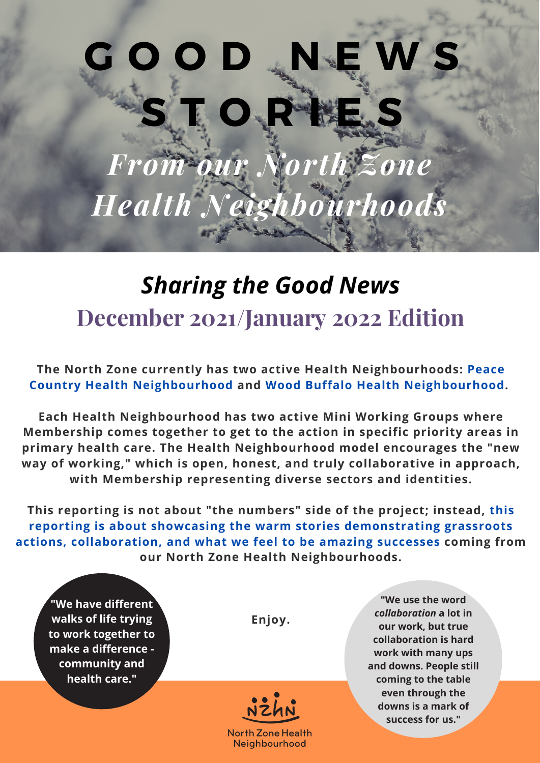# **G O O D N E W S S T O R I E S**

*From our North Zone Health Neighbourhoods*

### *Sharing the Good News* **December 2021/January 2022 Edition**

**The North Zone currently has two active Health Neighbourhoods: Peace Country Health Neighbourhood and Wood Buffalo Health Neighbourhood.**

**Each Health Neighbourhood has two active Mini Working Groups where Membership comes together to get to the action in specific priority areas in primary health care. The Health Neighbourhood model encourages the "new way of working," which is open, honest, and truly collaborative in approach, with Membership representing diverse sectors and identities.**

**This reporting is not about "the numbers" side of the project; instead, this reporting is about showcasing the warm stories demonstrating grassroots actions, collaboration, and what we feel to be amazing successes coming from our North Zone Health Neighbourhoods.**

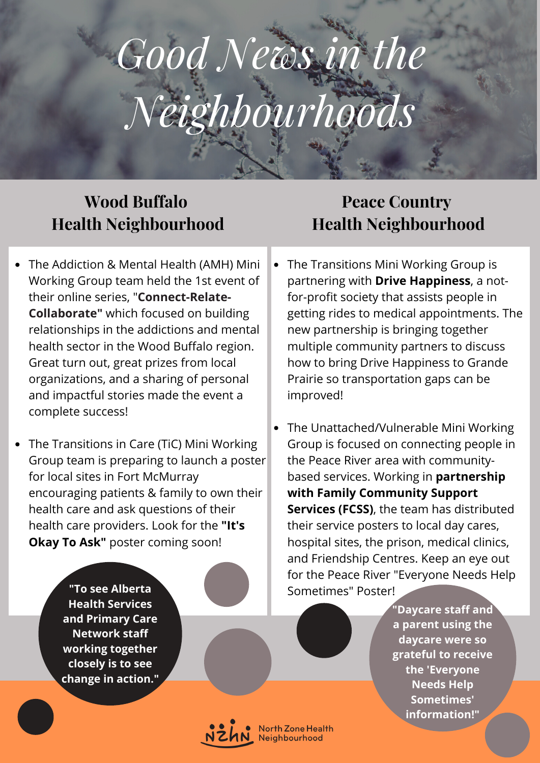## *Good News in the Neighbourhoods*

#### **Wood Buffalo Health Neighbourhood**

- The Addiction & Mental Health (AMH) Mini Working Group team held the 1st event of their online series, "**Connect-Relate-Collaborate"** which focused on building relationships in the addictions and mental health sector in the Wood Buffalo region. Great turn out, great prizes from local organizations, and a sharing of personal and impactful stories made the event a complete success!
- The Transitions in Care (TiC) Mini Working Group team is preparing to launch a poster for local sites in Fort McMurray encouraging patients & family to own their health care and ask questions of their health care providers. Look for the **"It's Okay To Ask"** poster coming soon!
	- **"To see Alberta Health Services and Primary Care Network staff working together closely is to see change in action."**

#### **Peace Country Health Neighbourhood**

- The Transitions Mini Working Group is partnering with **Drive Happiness**, a notfor-profit society that assists people in getting rides to medical appointments. The new partnership is bringing together multiple community partners to discuss how to bring Drive Happiness to Grande Prairie so transportation gaps can be improved!
- The Unattached/Vulnerable Mini Working Group is focused on connecting people in the Peace River area with communitybased services. Working in **partnership with Family Community Support Services (FCSS)**, the team has distributed their service posters to local day cares, hospital sites, the prison, medical clinics, and Friendship Centres. Keep an eye out for the Peace River "Everyone Needs Help Sometimes" Poster!

**"Daycare staff and a parent using the daycare were so grateful to receive the 'Everyone Needs Help Sometimes' information!"**



North Zone Health<br>Neighbourhood